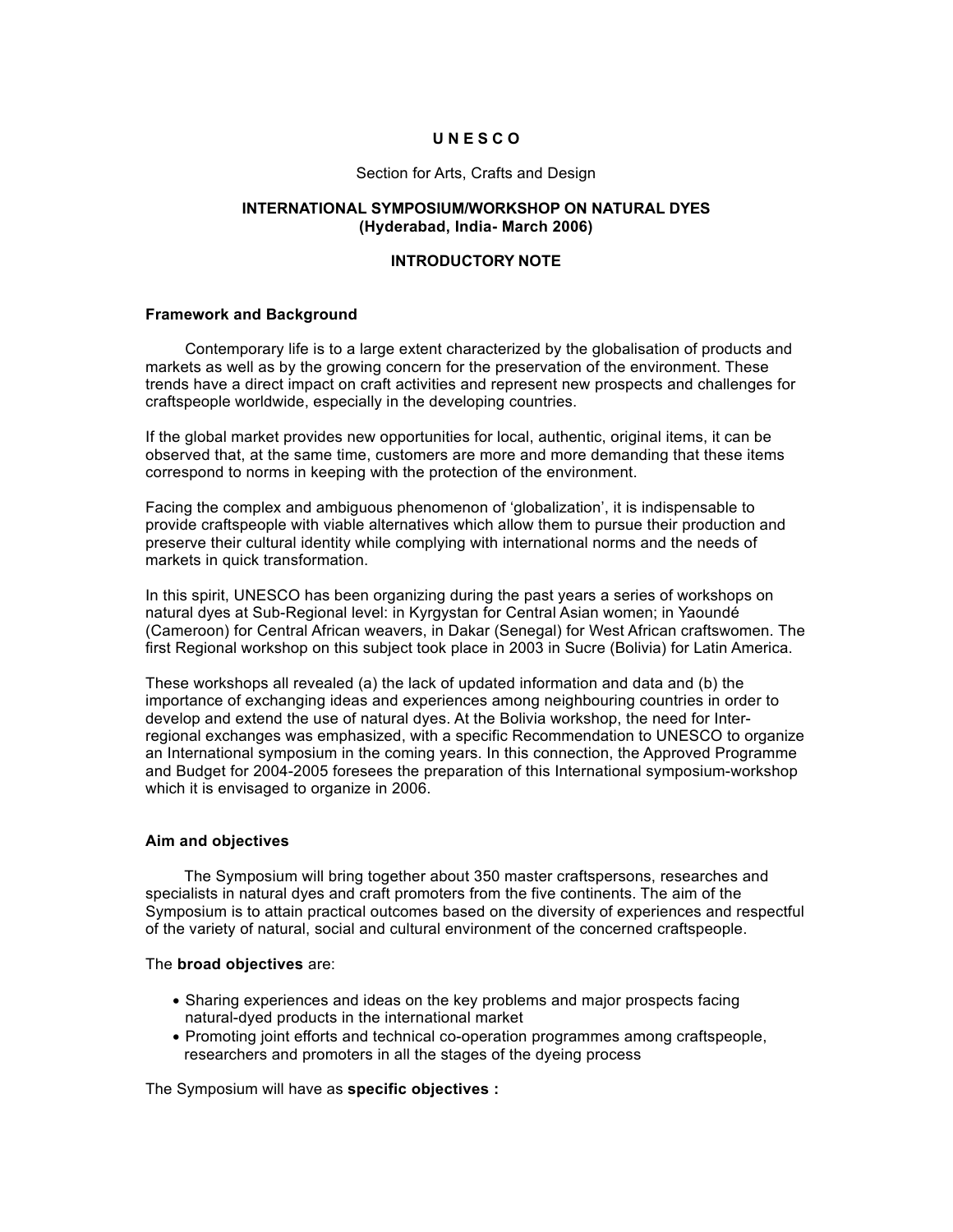## **U N E S C O**

#### Section for Arts, Crafts and Design

### **INTERNATIONAL SYMPOSIUM/WORKSHOP ON NATURAL DYES (Hyderabad, India- March 2006)**

### **INTRODUCTORY NOTE**

#### **Framework and Background**

Contemporary life is to a large extent characterized by the globalisation of products and markets as well as by the growing concern for the preservation of the environment. These trends have a direct impact on craft activities and represent new prospects and challenges for craftspeople worldwide, especially in the developing countries.

If the global market provides new opportunities for local, authentic, original items, it can be observed that, at the same time, customers are more and more demanding that these items correspond to norms in keeping with the protection of the environment.

Facing the complex and ambiguous phenomenon of 'globalization', it is indispensable to provide craftspeople with viable alternatives which allow them to pursue their production and preserve their cultural identity while complying with international norms and the needs of markets in quick transformation.

In this spirit, UNESCO has been organizing during the past years a series of workshops on natural dyes at Sub-Regional level: in Kyrgystan for Central Asian women; in Yaoundé (Cameroon) for Central African weavers, in Dakar (Senegal) for West African craftswomen. The first Regional workshop on this subject took place in 2003 in Sucre (Bolivia) for Latin America.

These workshops all revealed (a) the lack of updated information and data and (b) the importance of exchanging ideas and experiences among neighbouring countries in order to develop and extend the use of natural dyes. At the Bolivia workshop, the need for Interregional exchanges was emphasized, with a specific Recommendation to UNESCO to organize an International symposium in the coming years. In this connection, the Approved Programme and Budget for 2004-2005 foresees the preparation of this International symposium-workshop which it is envisaged to organize in 2006.

#### **Aim and objectives**

The Symposium will bring together about 350 master craftspersons, researches and specialists in natural dyes and craft promoters from the five continents. The aim of the Symposium is to attain practical outcomes based on the diversity of experiences and respectful of the variety of natural, social and cultural environment of the concerned craftspeople.

#### The **broad objectives** are:

- Sharing experiences and ideas on the key problems and major prospects facing natural-dyed products in the international market
- Promoting joint efforts and technical co-operation programmes among craftspeople, researchers and promoters in all the stages of the dyeing process

The Symposium will have as **specific objectives :**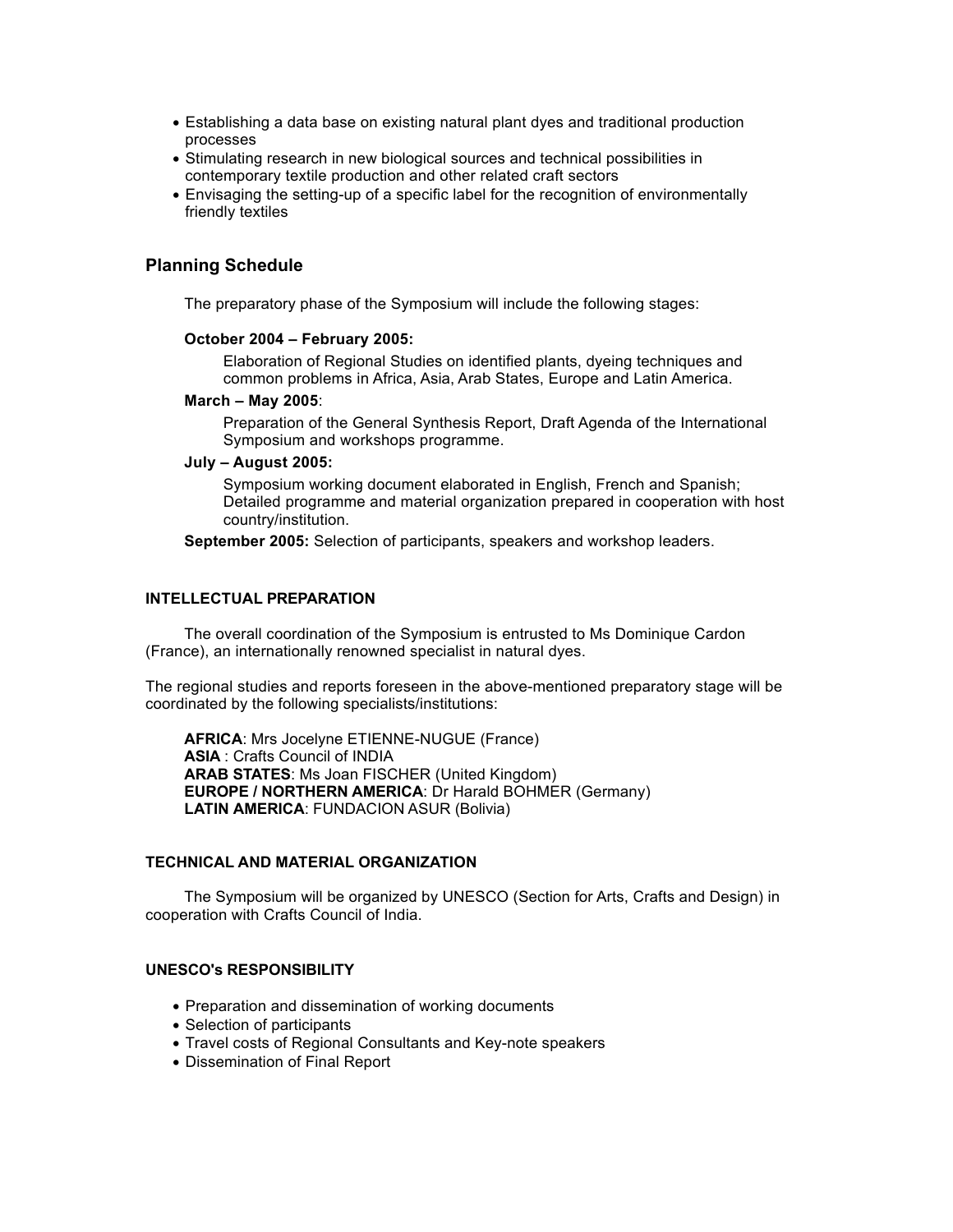- Establishing a data base on existing natural plant dyes and traditional production processes
- Stimulating research in new biological sources and technical possibilities in contemporary textile production and other related craft sectors
- Envisaging the setting-up of a specific label for the recognition of environmentally friendly textiles

## **Planning Schedule**

The preparatory phase of the Symposium will include the following stages:

#### **October 2004 – February 2005:**

Elaboration of Regional Studies on identified plants, dyeing techniques and common problems in Africa, Asia, Arab States, Europe and Latin America.

#### **March – May 2005**:

Preparation of the General Synthesis Report, Draft Agenda of the International Symposium and workshops programme.

#### **July – August 2005:**

Symposium working document elaborated in English, French and Spanish; Detailed programme and material organization prepared in cooperation with host country/institution.

**September 2005:** Selection of participants, speakers and workshop leaders.

## **INTELLECTUAL PREPARATION**

The overall coordination of the Symposium is entrusted to Ms Dominique Cardon (France), an internationally renowned specialist in natural dyes.

The regional studies and reports foreseen in the above-mentioned preparatory stage will be coordinated by the following specialists/institutions:

**AFRICA**: Mrs Jocelyne ETIENNE-NUGUE (France) **ASIA** : Crafts Council of INDIA **ARAB STATES**: Ms Joan FISCHER (United Kingdom) **EUROPE / NORTHERN AMERICA**: Dr Harald BOHMER (Germany) **LATIN AMERICA**: FUNDACION ASUR (Bolivia)

### **TECHNICAL AND MATERIAL ORGANIZATION**

The Symposium will be organized by UNESCO (Section for Arts, Crafts and Design) in cooperation with Crafts Council of India.

### **UNESCO's RESPONSIBILITY**

- Preparation and dissemination of working documents
- Selection of participants
- Travel costs of Regional Consultants and Key-note speakers
- Dissemination of Final Report